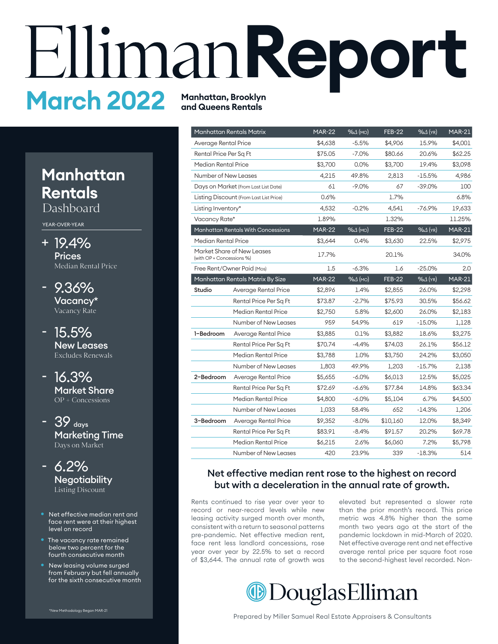# **Report March 2022 Manhatan, Brooklyn**

# **Manhatan Rentals**

Dashboard

YEAR-OVER-YEAR

- 19.4% + **Prices** Median Rental Price
- 9.36% Vacancy\* Vacancy Rate -
- 15.5% New Leases Excludes Renewals
- 16.3% Market Share  $OP + Concessions$
- 39 <sub>days</sub> Marketing Time Days on Market
- 6.2% **Negotiability** Listing Discount
- Net effective median rent and face rent were at their highest level on record
- The vacancy rate remained below two percent for the fourth consecutive month
- New leasing volume surged from February but fell annually for the sixth consecutive month

| *New Methodology Began MAR-21 |  |
|-------------------------------|--|
|                               |  |

**and Queens Rentals**

|                             | <b>Manhattan Rentals Matrix</b>           | <b>MAR-22</b> | $\sqrt{64}$ (MO) | <b>FEB-22</b> | %4 (YR)            | <b>MAR-21</b> |
|-----------------------------|-------------------------------------------|---------------|------------------|---------------|--------------------|---------------|
| Average Rental Price        |                                           | \$4,638       | $-5.5%$          | \$4,906       | 15.9%              | \$4,001       |
| Rental Price Per Sq Ft      |                                           | \$75.05       | $-7.0%$          | \$80.66       | 20.6%              | \$62.25       |
| Median Rental Price         |                                           | \$3,700       | $0.0\%$          | \$3,700       | 19.4%              | \$3,098       |
| <b>Number of New Leases</b> |                                           | 4,215         | 49.8%            | 2,813         | $-15.5%$           | 4,986         |
|                             | Days on Market (From Last List Date)      | 61            | $-9.0\%$         | 67            | $-39.0%$           | 100           |
|                             | Listing Discount (From Last List Price)   | 0.6%          |                  | 1.7%          |                    | 6.8%          |
| Listing Inventory*          |                                           | 4,532         | $-0.2%$          | 4,541         | $-76.9%$           | 19,633        |
| Vacancy Rate*               |                                           | 1.89%         |                  | 1.32%         |                    | 11.25%        |
|                             | <b>Manhattan Rentals With Concessions</b> | <b>MAR-22</b> | $%4$ (MO)        | <b>FEB-22</b> | $% \triangle$ (YR) | <b>MAR-21</b> |
| Median Rental Price         |                                           | \$3,644       | 0.4%             | \$3,630       | 22.5%              | \$2,975       |
| (with OP + Concessions %)   | Market Share of New Leases                | 17.7%         |                  | 20.1%         |                    | 34.0%         |
|                             | Free Rent/Owner Paid (Mos)                | 1.5           | $-6.3%$          | 1.6           | $-25.0%$           | 2.0           |
|                             | Manhattan Rentals Matrix By Size          | <b>MAR-22</b> | $%4$ (MO)        | <b>FEB-22</b> | % $\Delta$ (YR)    | <b>MAR-21</b> |
| Studio                      | Average Rental Price                      | \$2,896       | 1.4%             | \$2,855       | 26.0%              | \$2,298       |
|                             | Rental Price Per Sq Ft                    | \$73.87       | $-2.7%$          | \$75.93       | 30.5%              | \$56.62       |
|                             | Median Rental Price                       | \$2,750       | 5.8%             | \$2,600       | 26.0%              | \$2,183       |
|                             | Number of New Leases                      | 959           | 54.9%            | 619           | $-15.0\%$          | 1,128         |
| 1-Bedroom                   | Average Rental Price                      | \$3,885       | 0.1%             | \$3,882       | 18.6%              | \$3,275       |
|                             | Rental Price Per Sq Ft                    | \$70.74       | $-4.4%$          | \$74.03       | 26.1%              | \$56.12       |
|                             | Median Rental Price                       | \$3,788       | 1.0%             | \$3,750       | 24.2%              | \$3,050       |
|                             | Number of New Leases                      | 1,803         | 49.9%            | 1,203         | $-15.7\%$          | 2,138         |
| 2-Bedroom                   | Average Rental Price                      | \$5,655       | $-6.0%$          | \$6,013       | 12.5%              | \$5,025       |
|                             | Rental Price Per Sq Ft                    | \$72.69       | $-6.6%$          | \$77.84       | 14.8%              | \$63.34       |
|                             | Median Rental Price                       | \$4,800       | $-6.0\%$         | \$5,104       | 6.7%               | \$4,500       |
|                             | Number of New Leases                      | 1,033         | 58.4%            | 652           | $-14.3\%$          | 1,206         |
| 3-Bedroom                   | Average Rental Price                      | \$9,352       | $-8.0%$          | \$10,160      | 12.0%              | \$8,349       |
|                             | Rental Price Per Sq Ft                    | \$83.91       | $-8.4%$          | \$91.57       | 20.2%              | \$69.78       |
|                             | Median Rental Price                       | \$6,215       | 2.6%             | \$6,060       | 7.2%               | \$5,798       |
|                             | <b>Number of New Leases</b>               | 420           | 23.9%            | 339           | $-18.3%$           | 514           |

### Net effective median rent rose to the highest on record but with a deceleration in the annual rate of growth.

Rents continued to rise year over year to record or near-record levels while new leasing activity surged month over month, consistent with a return to seasonal patterns pre-pandemic. Net effective median rent, face rent less landlord concessions, rose year over year by 22.5% to set a record of \$3,644. The annual rate of growth was elevated but represented a slower rate than the prior month's record. This price metric was 4.8% higher than the same month two years ago at the start of the pandemic lockdown in mid-March of 2020. Net effective average rent and net effective average rental price per square foot rose to the second-highest level recorded. Non-



Prepared by Miller Samuel Real Estate Appraisers & Consultants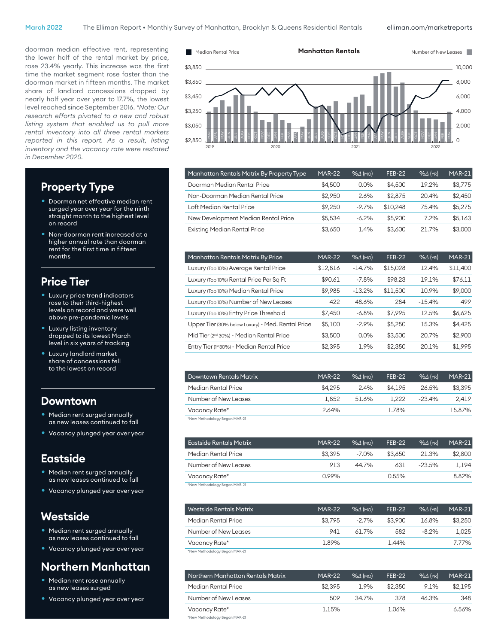doorman median effective rent, representing the lower half of the rental market by price, rose 23.4% yearly. This increase was the first time the market segment rose faster than the doorman market in fifteen months. The market share of landlord concessions dropped by nearly half year over year to 17.7%, the lowest level reached since September 2016. *\*Note: Our research efforts pivoted to a new and robust listing system that enabled us to pull more rental inventory into all three rental markets reported in this report. As a result, listing inventory and the vacancy rate were restated in December 2020.*

### \$2,850 \$3,050 \$3,250 \$3,450 \$3,650 \$3,850  $\Omega$ 2,000 4,000 6,000 8,000 10,000  $\frac{2}{3}$   $\frac{2}{3}$   $\frac{2}{3}$   $\frac{2}{3}$   $\frac{2}{3}$   $\frac{2}{3}$   $\frac{2}{3}$   $\frac{2}{3}$   $\frac{2}{3}$   $\frac{2}{3}$   $\frac{2}{3}$   $\frac{2}{3}$   $\frac{2}{3}$   $\frac{2}{3}$   $\frac{2}{3}$   $\frac{2}{3}$   $\frac{2}{3}$   $\frac{2}{3}$   $\frac{2}{3}$   $\frac{2}{3}$   $\frac{2}{3}$   $\frac{2}{3}$   $\frac{m}{n}$  $\frac{m}{n}$ SEPT MAY  $\leqq$ SEPT  $\leqq$  $\nexists$ SEPT  $\frac{5}{7}$ DEC APR MAR 2022 FEB

**Manhattan Rentals** Number of New Leases

| Manhattan Rentals Matrix By Property Type | <b>MAR-22</b> | %4(m)   | <b>FEB-22</b> | $%$ $\Delta$ (YR) | <b>MAR-21</b> |
|-------------------------------------------|---------------|---------|---------------|-------------------|---------------|
| Doorman Median Rental Price               | \$4,500       | $0.0\%$ | \$4,500       | 19.2%             | \$3,775       |
| Non-Doorman Median Rental Price           | \$2,950       | 2.6%    | \$2,875       | 20.4%             | \$2,450       |
| Loft Median Rental Price                  | \$9.250       | $-9.7%$ | \$10,248      | 75.4%             | \$5,275       |
| New Development Median Rental Price       | \$5.534       | $-6.2%$ | \$5,900       | 7.2%              | \$5.163       |
| <b>Existing Median Rental Price</b>       | \$3.650       | 1.4%    | \$3,600       | 21.7%             | \$3,000       |
|                                           |               |         |               |                   |               |

| Manhattan Rentals Matrix By Price                    | <b>MAR-22</b> | $%4$ (MO) | <b>FEB-22</b> | $%4$ (YR) | <b>MAR-21</b> |
|------------------------------------------------------|---------------|-----------|---------------|-----------|---------------|
| Luxury (Top 10%) Average Rental Price                | \$12,816      | $-14.7%$  | \$15,028      | 12.4%     | \$11,400      |
| Luxury (Top 10%) Rental Price Per Sq Ft              | \$90.61       | $-7.8%$   | \$98.23       | 19.1%     | \$76.11       |
| Luxury (Top 10%) Median Rental Price                 | \$9.985       | $-13.2%$  | \$11,500      | 10.9%     | \$9,000       |
| Luxury (Top 10%) Number of New Leases                | 422           | 48.6%     | 284           | $-15.4%$  | 499           |
| Luxury (Top 10%) Entry Price Threshold               | \$7,450       | $-6.8%$   | \$7,995       | 12.5%     | \$6,625       |
| Upper Tier (30% below Luxury) - Med. Rental Price    | \$5,100       | $-2.9%$   | \$5,250       | 15.3%     | \$4,425       |
| Mid Tier (2 <sup>nd</sup> 30%) - Median Rental Price | \$3,500       | 0.0%      | \$3,500       | 20.7%     | \$2,900       |
| Entry Tier (1st 30%) - Median Rental Price           | \$2.395       | 1.9%      | \$2,350       | 20.1%     | \$1,995       |

| <b>Downtown Rentals Matrix</b> | <b>MAR-22</b> | $% \triangle$ (MO) | <b>FEB-22</b> | $% \triangle$ (YR) | <b>MAR-21</b> |
|--------------------------------|---------------|--------------------|---------------|--------------------|---------------|
| Median Rental Price            | \$4,295       | 2.4%               | \$4.195       | 26.5%              | \$3.395       |
| Number of New Leases           | 1.852         | 51.6%              | 1.222         | $-23.4%$           | 2.419         |
| Vacancy Rate*                  | 2.64%         |                    | 1.78%         |                    | 15.87%        |
| *New Methodology Began MAR-21  |               |                    |               |                    |               |

\*New Methodology Began MAR-21

| Eastside Rentals Matrix | <b>MAR-22</b> | $% \triangle$ (MO) | <b>FEB-22</b> | $\%$ $\Delta$ (YR) | <b>MAR-21</b> |
|-------------------------|---------------|--------------------|---------------|--------------------|---------------|
| Median Rental Price     | \$3.395       | $-7.0\%$           | \$3.650       | 21.3%              | \$2,800       |
| Number of New Leases    | 913           | 44.7%              | 631           | $-23.5\%$          | 1.194         |
| Vacancy Rate*           | 0.99%         |                    | 0.55%         |                    | 8.82%         |
|                         |               |                    |               |                    |               |

ew Methodology Began MAR-21

| Westside Rentals Matrix | <b>MAR-22</b> | $\%$ $\Delta$ (MO) | <b>FEB-22</b> | $\%$ $\Delta$ (YR) | <b>MAR-21</b> |
|-------------------------|---------------|--------------------|---------------|--------------------|---------------|
| Median Rental Price     | \$3.795       | $-2.7\%$           | \$3,900       | 16.8%              | \$3,250       |
| Number of New Leases    | 941           | 61.7%              | 582           | $-8.2%$            | 1.025         |
| Vacancy Rate*           | 1.89%         |                    | 1.44%         |                    | 7.77%         |
|                         |               |                    |               |                    |               |

\*New Methodology Began MAR-21

| Northern Manhattan Rentals Matrix | <b>MAR-22</b> | $% \triangle$ (MO) | <b>FEB-22</b> | $\%$ $\Delta$ (YR) | <b>MAR-21</b> |
|-----------------------------------|---------------|--------------------|---------------|--------------------|---------------|
| Median Rental Price               | \$2,395       | 1.9%               | \$2,350       | 9.1%               | \$2.195       |
| Number of New Leases              | 509           | 34.7%              | 378           | 46.3%              | 348           |
| Vacancy Rate*                     | 1.15%         |                    | 1.06%         |                    | 6.56%         |
| *New Methodology Began MAR-21     |               |                    |               |                    |               |

### **Property Type**

- Doorman net effective median rent surged year over year for the ninth straight month to the highest level on record
- Non-doorman rent increased at a higher annual rate than doorman rent for the first time in fifteen months

### **Price Tier**

- Luxury price trend indicators rose to their third-highest levels on record and were well above pre-pandemic levels
- Luxury listing inventory dropped to its lowest March level in six years of tracking
- Luxury landlord market share of concessions fell to the lowest on record

### **Downtown**

- Median rent surged annually as new leases continued to fall
- Vacancy plunged year over year

### **Eastside**

- Median rent surged annually as new leases continued to fall
- Vacancy plunged year over year

### **Westside**

- Median rent surged annually as new leases continued to fall
- Vacancy plunged year over year

## **Northern Manhatan**

- Median rent rose annually as new leases surged
- Vacancy plunged year over year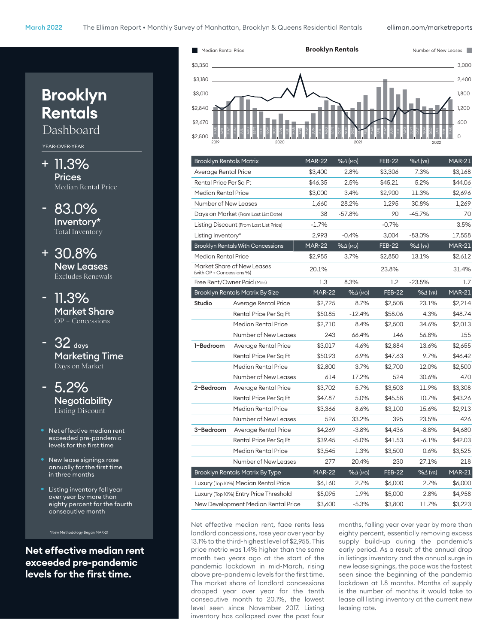

| <b>Brooklyn Rentals Matrix</b> |                                          | <b>MAR-22</b> | $%4$ (MO) | <b>FEB-22</b> | $%4$ (YR)          | <b>MAR-21</b> |
|--------------------------------|------------------------------------------|---------------|-----------|---------------|--------------------|---------------|
| Average Rental Price           |                                          | \$3,400       | 2.8%      | \$3,306       | 7.3%               | \$3,168       |
| Rental Price Per Sq Ft         |                                          | \$46.35       | 2.5%      | \$45.21       | 5.2%               | \$44.06       |
| Median Rental Price            |                                          | \$3,000       | 3.4%      | \$2,900       | 11.3%              | \$2,696       |
| Number of New Leases           |                                          | 1,660         | 28.2%     | 1,295         | 30.8%              | 1,269         |
|                                | Days on Market (From Last List Date)     | 38            | $-57.8%$  | 90            | $-45.7%$           | 70            |
|                                | Listing Discount (From Last List Price)  | $-1.7%$       |           | $-0.7%$       |                    | 3.5%          |
| Listing Inventory*             |                                          | 2,993         | $-0.4%$   | 3,004         | $-83.0\%$          | 17,558        |
|                                | <b>Brooklyn Rentals With Concessions</b> | <b>MAR-22</b> | $%4$ (MO) | <b>FEB-22</b> | % $\Delta$ (YR)    | <b>MAR-21</b> |
| Median Rental Price            |                                          | \$2,955       | 3.7%      | \$2,850       | 13.1%              | \$2,612       |
| (with OP + Concessions %)      | Market Share of New Leases               | 20.1%         |           | 23.8%         |                    | 31.4%         |
|                                | Free Rent/Owner Paid (Mos)               | 1.3           | 8.3%      | 1.2           | $-23.5%$           | 1.7           |
|                                | <b>Brooklyn Rentals Matrix By Size</b>   | <b>MAR-22</b> | $%4$ (MO) | <b>FEB-22</b> | $% \triangle$ (YR) | <b>MAR-21</b> |
| Studio                         | Average Rental Price                     | \$2,725       | 8.7%      | \$2,508       | 23.1%              | \$2,214       |
|                                | Rental Price Per Sq Ft                   | \$50.85       | $-12.4%$  | \$58.06       | 4.3%               | \$48.74       |
|                                | Median Rental Price                      | \$2,710       | 8.4%      | \$2,500       | 34.6%              | \$2,013       |
|                                | Number of New Leases                     | 243           | 66.4%     | 146           | 56.8%              | 155           |
| 1-Bedroom                      | Average Rental Price                     | \$3,017       | 4.6%      | \$2,884       | 13.6%              | \$2,655       |
|                                | Rental Price Per Sq Ft                   | \$50.93       | 6.9%      | \$47.63       | 9.7%               | \$46.42       |
|                                | Median Rental Price                      | \$2,800       | 3.7%      | \$2,700       | 12.0%              | \$2,500       |
|                                | Number of New Leases                     | 614           | 17.2%     | 524           | 30.6%              | 470           |
| 2-Bedroom                      | Average Rental Price                     | \$3,702       | 5.7%      | \$3,503       | 11.9%              | \$3,308       |
|                                | Rental Price Per Sq Ft                   | \$47.87       | 5.0%      | \$45.58       | 10.7%              | \$43.26       |
|                                | Median Rental Price                      | \$3,366       | 8.6%      | \$3,100       | 15.6%              | \$2,913       |
|                                | Number of New Leases                     | 526           | 33.2%     | 395           | 23.5%              | 426           |
| 3-Bedroom                      | Average Rental Price                     | \$4,269       | $-3.8%$   | \$4,436       | $-8.8%$            | \$4,680       |
|                                | Rental Price Per Sq Ft                   | \$39.45       | $-5.0%$   | \$41.53       | $-6.1%$            | \$42.03       |
|                                | Median Rental Price                      | \$3,545       | 1.3%      | \$3,500       | 0.6%               | \$3,525       |
|                                | Number of New Leases                     | 277           | 20.4%     | 230           | 27.1%              | 218           |
|                                | <b>Brooklyn Rentals Matrix By Type</b>   | <b>MAR-22</b> | $%4$ (MO) | <b>FEB-22</b> | $%4$ (YR)          | <b>MAR-21</b> |
|                                | Luxury (Top 10%) Median Rental Price     | \$6,160       | 2.7%      | \$6,000       | 2.7%               | \$6,000       |
|                                | Luxury (Top 10%) Entry Price Threshold   | \$5,095       | 1.9%      | \$5,000       | 2.8%               | \$4,958       |
|                                | New Development Median Rental Price      | \$3,600       | $-5.3%$   | \$3,800       | 11.7%              | \$3,223       |

Net effective median rent, face rents less landlord concessions, rose year over year by 13.1% to the third-highest level of \$2,955. This price metric was 1.4% higher than the same month two years ago at the start of the pandemic lockdown in mid-March, rising above pre-pandemic levels for the first time. The market share of landlord concessions dropped year over year for the tenth consecutive month to 20.1%, the lowest level seen since November 2017. Listing inventory has collapsed over the past four

months, falling year over year by more than eighty percent, essentially removing excess supply build-up during the pandemic's early period. As a result of the annual drop in listings inventory and the annual surge in new lease signings, the pace was the fastest seen since the beginning of the pandemic lockdown at 1.8 months. Months of supply is the number of months it would take to lease all listing inventory at the current new leasing rate.

# **Brooklyn Rentals**

Dashboard

YEAR-OVER-YEAR

- + 11.3% **Prices** Median Rental Price
- 83.0% Inventory\* Total Inventory
- + 30.8% New Leases Excludes Renewals
- 11.3% Market Share OP + Concessions
- $32$  days Marketing Time Days on Market
- 5.2% **Negotiability** Listing Discount
- Net effective median rent exceeded pre-pandemic levels for the first time
- New lease signings rose annually for the first time in three months
- Listing inventory fell year over year by more than eighty percent for the fourth consecutive month

**Net effective median rent exceeded pre-pandemic levels for the frst time.**

\*New Methodology Began MAR-21